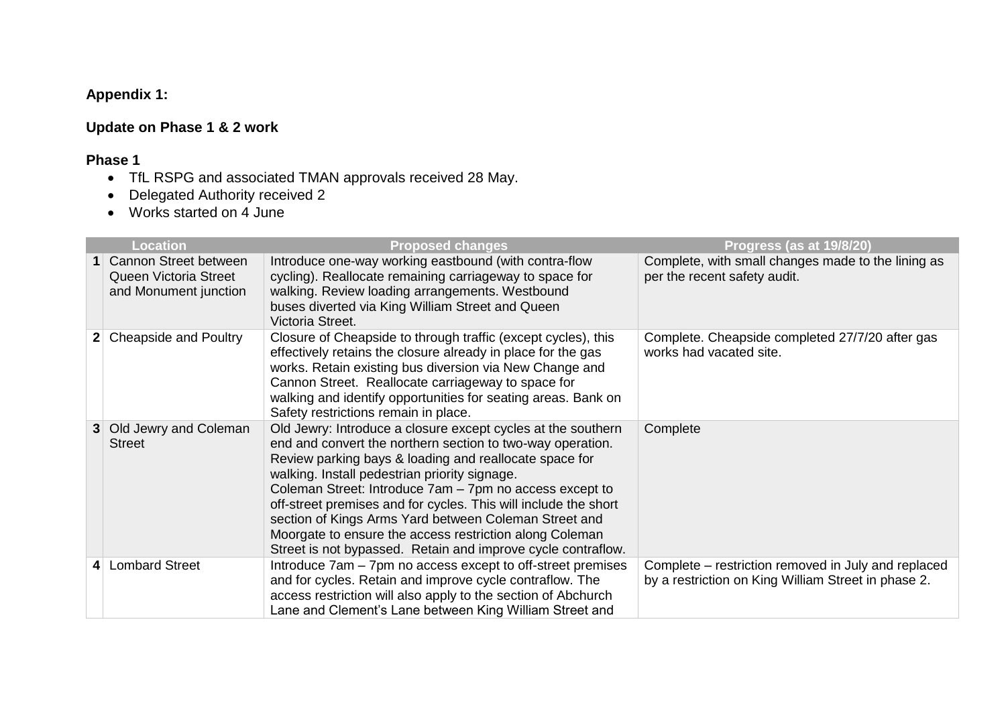## **Appendix 1:**

## **Update on Phase 1 & 2 work**

## **Phase 1**

- TfL RSPG and associated TMAN approvals received 28 May.
- Delegated Authority received 2
- Works started on 4 June

|   | <b>Location</b>                                                           | <b>Proposed changes</b>                                                                                                                                                                                                                                                                                                                                                                                                                                                                                                                                 | Progress (as at 19/8/20)                                                                                   |
|---|---------------------------------------------------------------------------|---------------------------------------------------------------------------------------------------------------------------------------------------------------------------------------------------------------------------------------------------------------------------------------------------------------------------------------------------------------------------------------------------------------------------------------------------------------------------------------------------------------------------------------------------------|------------------------------------------------------------------------------------------------------------|
|   | 1 Cannon Street between<br>Queen Victoria Street<br>and Monument junction | Introduce one-way working eastbound (with contra-flow<br>cycling). Reallocate remaining carriageway to space for<br>walking. Review loading arrangements. Westbound<br>buses diverted via King William Street and Queen<br>Victoria Street.                                                                                                                                                                                                                                                                                                             | Complete, with small changes made to the lining as<br>per the recent safety audit.                         |
|   | Cheapside and Poultry                                                     | Closure of Cheapside to through traffic (except cycles), this<br>effectively retains the closure already in place for the gas<br>works. Retain existing bus diversion via New Change and<br>Cannon Street. Reallocate carriageway to space for<br>walking and identify opportunities for seating areas. Bank on<br>Safety restrictions remain in place.                                                                                                                                                                                                 | Complete. Cheapside completed 27/7/20 after gas<br>works had vacated site.                                 |
| 3 | Old Jewry and Coleman<br><b>Street</b>                                    | Old Jewry: Introduce a closure except cycles at the southern<br>end and convert the northern section to two-way operation.<br>Review parking bays & loading and reallocate space for<br>walking. Install pedestrian priority signage.<br>Coleman Street: Introduce 7am - 7pm no access except to<br>off-street premises and for cycles. This will include the short<br>section of Kings Arms Yard between Coleman Street and<br>Moorgate to ensure the access restriction along Coleman<br>Street is not bypassed. Retain and improve cycle contraflow. | Complete                                                                                                   |
|   | <b>Lombard Street</b>                                                     | Introduce 7am – 7pm no access except to off-street premises<br>and for cycles. Retain and improve cycle contraflow. The<br>access restriction will also apply to the section of Abchurch<br>Lane and Clement's Lane between King William Street and                                                                                                                                                                                                                                                                                                     | Complete – restriction removed in July and replaced<br>by a restriction on King William Street in phase 2. |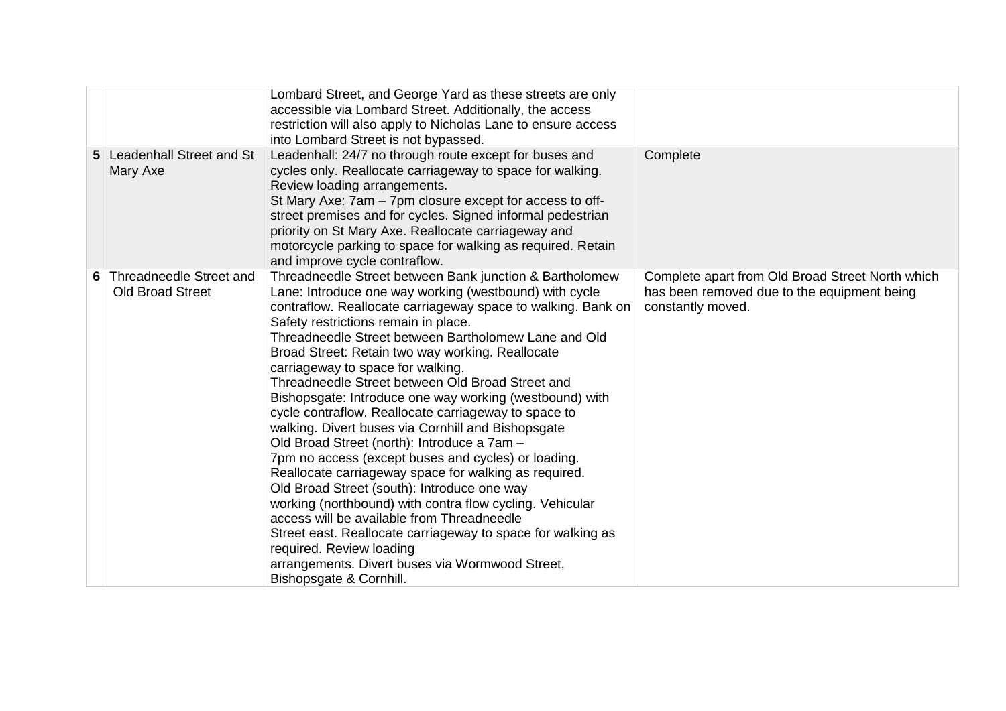|                                                      | Lombard Street, and George Yard as these streets are only<br>accessible via Lombard Street. Additionally, the access<br>restriction will also apply to Nicholas Lane to ensure access<br>into Lombard Street is not bypassed.                                                                                                                                                                                                                                                                                                                                                                                                                                                                                                                                                                                                                                                                                                                                                                                                                                                                            |                                                                                                                      |
|------------------------------------------------------|----------------------------------------------------------------------------------------------------------------------------------------------------------------------------------------------------------------------------------------------------------------------------------------------------------------------------------------------------------------------------------------------------------------------------------------------------------------------------------------------------------------------------------------------------------------------------------------------------------------------------------------------------------------------------------------------------------------------------------------------------------------------------------------------------------------------------------------------------------------------------------------------------------------------------------------------------------------------------------------------------------------------------------------------------------------------------------------------------------|----------------------------------------------------------------------------------------------------------------------|
| 5 Leadenhall Street and St<br>Mary Axe               | Leadenhall: 24/7 no through route except for buses and<br>cycles only. Reallocate carriageway to space for walking.<br>Review loading arrangements.<br>St Mary Axe: 7am - 7pm closure except for access to off-<br>street premises and for cycles. Signed informal pedestrian<br>priority on St Mary Axe. Reallocate carriageway and<br>motorcycle parking to space for walking as required. Retain<br>and improve cycle contraflow.                                                                                                                                                                                                                                                                                                                                                                                                                                                                                                                                                                                                                                                                     | Complete                                                                                                             |
| 6 Threadneedle Street and<br><b>Old Broad Street</b> | Threadneedle Street between Bank junction & Bartholomew<br>Lane: Introduce one way working (westbound) with cycle<br>contraflow. Reallocate carriageway space to walking. Bank on<br>Safety restrictions remain in place.<br>Threadneedle Street between Bartholomew Lane and Old<br>Broad Street: Retain two way working. Reallocate<br>carriageway to space for walking.<br>Threadneedle Street between Old Broad Street and<br>Bishopsgate: Introduce one way working (westbound) with<br>cycle contraflow. Reallocate carriageway to space to<br>walking. Divert buses via Cornhill and Bishopsgate<br>Old Broad Street (north): Introduce a 7am -<br>7pm no access (except buses and cycles) or loading.<br>Reallocate carriageway space for walking as required.<br>Old Broad Street (south): Introduce one way<br>working (northbound) with contra flow cycling. Vehicular<br>access will be available from Threadneedle<br>Street east. Reallocate carriageway to space for walking as<br>required. Review loading<br>arrangements. Divert buses via Wormwood Street,<br>Bishopsgate & Cornhill. | Complete apart from Old Broad Street North which<br>has been removed due to the equipment being<br>constantly moved. |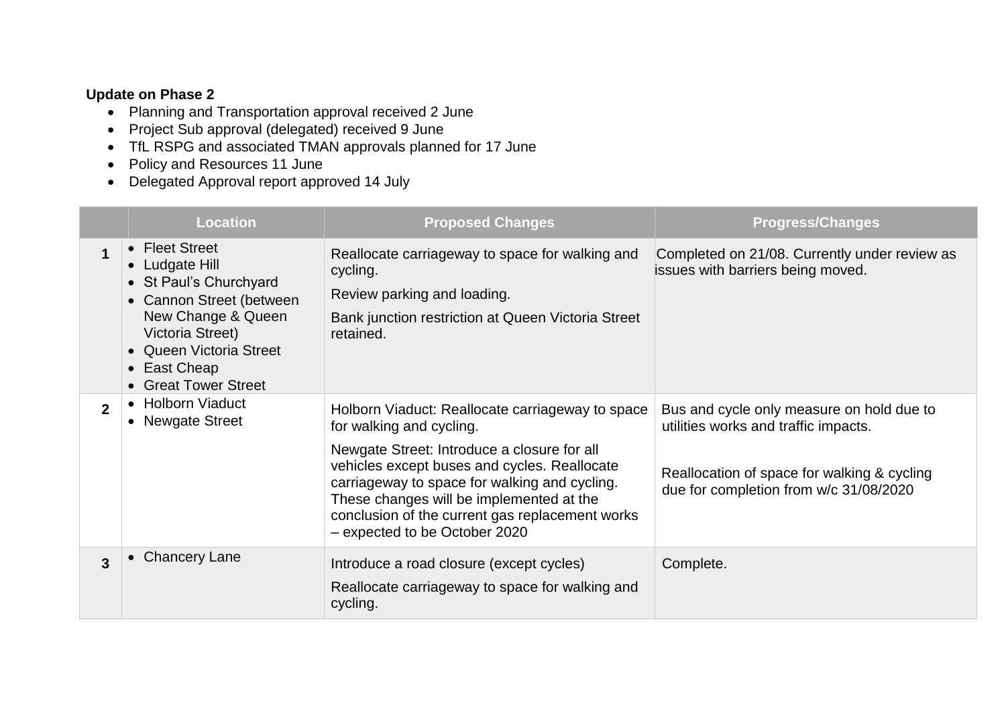## **Update on Phase 2**

- Planning and Transportation approval received 2 June
- Project Sub approval (delegated) received 9 June
- TfL RSPG and associated TMAN approvals planned for 17 June
- Policy and Resources 11 June
- Delegated Approval report approved 14 July

|                | <b>Location</b>                                                                                                                                                                                     | <b>Proposed Changes</b>                                                                                                                                                                                                                                                                                                                                      | <b>Progress/Changes</b>                                                                                                                                                    |
|----------------|-----------------------------------------------------------------------------------------------------------------------------------------------------------------------------------------------------|--------------------------------------------------------------------------------------------------------------------------------------------------------------------------------------------------------------------------------------------------------------------------------------------------------------------------------------------------------------|----------------------------------------------------------------------------------------------------------------------------------------------------------------------------|
| $\mathbf 1$    | • Fleet Street<br>• Ludgate Hill<br>• St Paul's Churchyard<br>• Cannon Street (between<br>New Change & Queen<br>Victoria Street)<br>• Queen Victoria Street<br>• East Cheap<br>• Great Tower Street | Reallocate carriageway to space for walking and<br>cycling.<br>Review parking and loading.<br>Bank junction restriction at Queen Victoria Street<br>retained.                                                                                                                                                                                                | Completed on 21/08. Currently under review as<br>issues with barriers being moved.                                                                                         |
| $\overline{2}$ | <b>Holborn Viaduct</b><br>• Newgate Street                                                                                                                                                          | Holborn Viaduct: Reallocate carriageway to space<br>for walking and cycling.<br>Newgate Street: Introduce a closure for all<br>vehicles except buses and cycles. Reallocate<br>carriageway to space for walking and cycling.<br>These changes will be implemented at the<br>conclusion of the current gas replacement works<br>- expected to be October 2020 | Bus and cycle only measure on hold due to<br>utilities works and traffic impacts.<br>Reallocation of space for walking & cycling<br>due for completion from w/c 31/08/2020 |
| 3              | • Chancery Lane                                                                                                                                                                                     | Introduce a road closure (except cycles)<br>Reallocate carriageway to space for walking and<br>cycling.                                                                                                                                                                                                                                                      | Complete.                                                                                                                                                                  |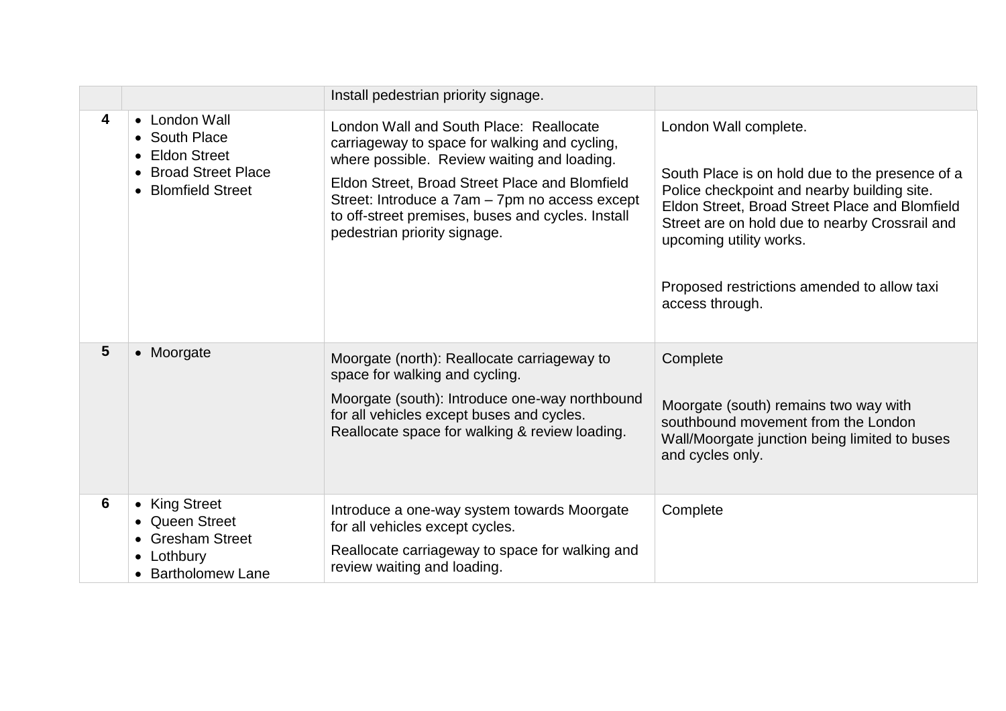|                |                                                                                                | Install pedestrian priority signage.                                                                                                                                                                                                                                                                                             |                                                                                                                                                                                                                                                                                                                          |
|----------------|------------------------------------------------------------------------------------------------|----------------------------------------------------------------------------------------------------------------------------------------------------------------------------------------------------------------------------------------------------------------------------------------------------------------------------------|--------------------------------------------------------------------------------------------------------------------------------------------------------------------------------------------------------------------------------------------------------------------------------------------------------------------------|
| 4              | • London Wall<br>• South Place<br>• Eldon Street<br>• Broad Street Place<br>• Blomfield Street | London Wall and South Place: Reallocate<br>carriageway to space for walking and cycling,<br>where possible. Review waiting and loading.<br>Eldon Street, Broad Street Place and Blomfield<br>Street: Introduce a 7am - 7pm no access except<br>to off-street premises, buses and cycles. Install<br>pedestrian priority signage. | London Wall complete.<br>South Place is on hold due to the presence of a<br>Police checkpoint and nearby building site.<br>Eldon Street, Broad Street Place and Blomfield<br>Street are on hold due to nearby Crossrail and<br>upcoming utility works.<br>Proposed restrictions amended to allow taxi<br>access through. |
| $5\phantom{1}$ | • Moorgate                                                                                     | Moorgate (north): Reallocate carriageway to<br>space for walking and cycling.<br>Moorgate (south): Introduce one-way northbound<br>for all vehicles except buses and cycles.<br>Reallocate space for walking & review loading.                                                                                                   | Complete<br>Moorgate (south) remains two way with<br>southbound movement from the London<br>Wall/Moorgate junction being limited to buses<br>and cycles only.                                                                                                                                                            |
| 6              | • King Street<br>• Queen Street<br>• Gresham Street<br>• Lothbury<br>• Bartholomew Lane        | Introduce a one-way system towards Moorgate<br>for all vehicles except cycles.<br>Reallocate carriageway to space for walking and<br>review waiting and loading.                                                                                                                                                                 | Complete                                                                                                                                                                                                                                                                                                                 |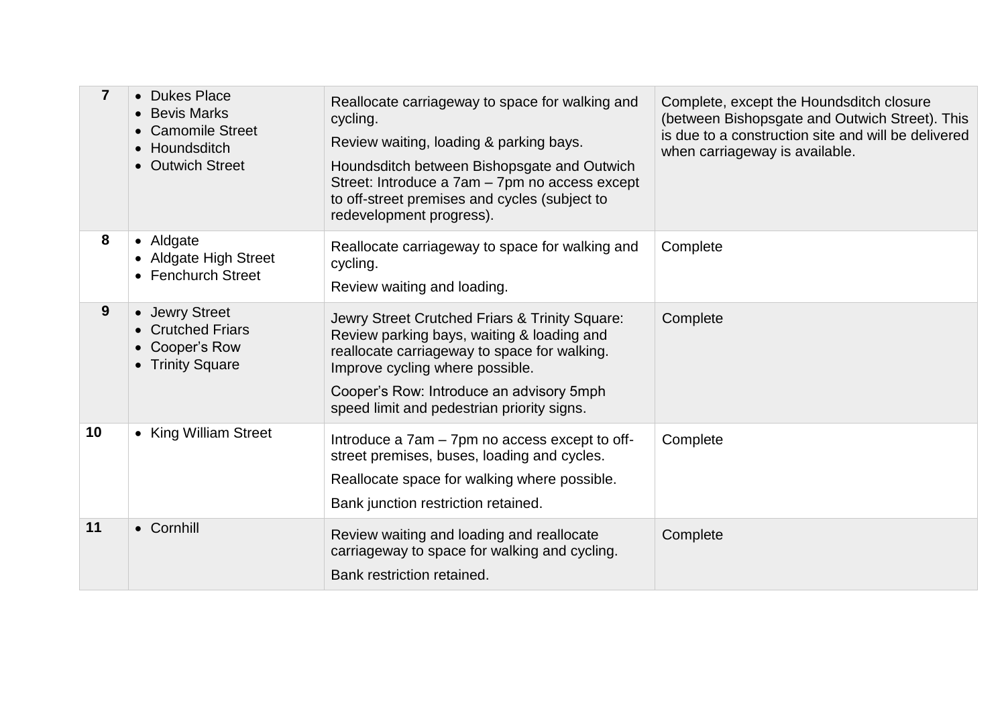| $\overline{\mathbf{7}}$ | • Dukes Place<br>• Bevis Marks<br><b>Camomile Street</b><br>• Houndsditch<br>• Outwich Street | Reallocate carriageway to space for walking and<br>cycling.<br>Review waiting, loading & parking bays.<br>Houndsditch between Bishopsgate and Outwich<br>Street: Introduce a 7am - 7pm no access except<br>to off-street premises and cycles (subject to<br>redevelopment progress). | Complete, except the Houndsditch closure<br>(between Bishopsgate and Outwich Street). This<br>is due to a construction site and will be delivered<br>when carriageway is available. |
|-------------------------|-----------------------------------------------------------------------------------------------|--------------------------------------------------------------------------------------------------------------------------------------------------------------------------------------------------------------------------------------------------------------------------------------|-------------------------------------------------------------------------------------------------------------------------------------------------------------------------------------|
| 8                       | • Aldgate<br>• Aldgate High Street<br>• Fenchurch Street                                      | Reallocate carriageway to space for walking and<br>cycling.<br>Review waiting and loading.                                                                                                                                                                                           | Complete                                                                                                                                                                            |
| 9                       | • Jewry Street<br><b>Crutched Friars</b><br>Cooper's Row<br>• Trinity Square                  | Jewry Street Crutched Friars & Trinity Square:<br>Review parking bays, waiting & loading and<br>reallocate carriageway to space for walking.<br>Improve cycling where possible.<br>Cooper's Row: Introduce an advisory 5mph<br>speed limit and pedestrian priority signs.            | Complete                                                                                                                                                                            |
| 10                      | • King William Street                                                                         | Introduce a 7am – 7pm no access except to off-<br>street premises, buses, loading and cycles.<br>Reallocate space for walking where possible.<br>Bank junction restriction retained.                                                                                                 | Complete                                                                                                                                                                            |
| 11                      | • Cornhill                                                                                    | Review waiting and loading and reallocate<br>carriageway to space for walking and cycling.<br>Bank restriction retained.                                                                                                                                                             | Complete                                                                                                                                                                            |